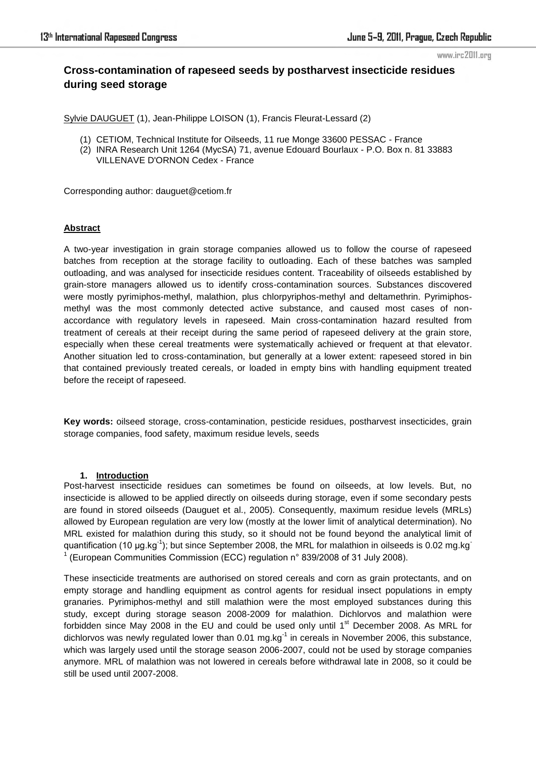# **Cross-contamination of rapeseed seeds by postharvest insecticide residues during seed storage**

Sylvie DAUGUET (1), Jean-Philippe LOISON (1), Francis Fleurat-Lessard (2)

- (1) CETIOM, Technical Institute for Oilseeds, 11 rue Monge 33600 PESSAC France
- (2) INRA Research Unit 1264 (MycSA) 71, avenue Edouard Bourlaux P.O. Box n. 81 33883 VILLENAVE D'ORNON Cedex - France

Corresponding author: dauguet@cetiom.fr

# **Abstract**

A two-year investigation in grain storage companies allowed us to follow the course of rapeseed batches from reception at the storage facility to outloading. Each of these batches was sampled outloading, and was analysed for insecticide residues content. Traceability of oilseeds established by grain-store managers allowed us to identify cross-contamination sources. Substances discovered were mostly pyrimiphos-methyl, malathion, plus chlorpyriphos-methyl and deltamethrin. Pyrimiphosmethyl was the most commonly detected active substance, and caused most cases of nonaccordance with regulatory levels in rapeseed. Main cross-contamination hazard resulted from treatment of cereals at their receipt during the same period of rapeseed delivery at the grain store, especially when these cereal treatments were systematically achieved or frequent at that elevator. Another situation led to cross-contamination, but generally at a lower extent: rapeseed stored in bin that contained previously treated cereals, or loaded in empty bins with handling equipment treated before the receipt of rapeseed.

**Key words:** oilseed storage, cross-contamination, pesticide residues, postharvest insecticides, grain storage companies, food safety, maximum residue levels, seeds

# **1. Introduction**

Post-harvest insecticide residues can sometimes be found on oilseeds, at low levels. But, no insecticide is allowed to be applied directly on oilseeds during storage, even if some secondary pests are found in stored oilseeds (Dauguet et al., 2005). Consequently, maximum residue levels (MRLs) allowed by European regulation are very low (mostly at the lower limit of analytical determination). No MRL existed for malathion during this study, so it should not be found beyond the analytical limit of quantification (10  $\mu$ g.kg<sup>-1</sup>); but since September 2008, the MRL for malathion in oilseeds is 0.02 mg.kg<sup>-1</sup> 1 (European Communities Commission (ECC) regulation n° 839/2008 of 31 July 2008).

These insecticide treatments are authorised on stored cereals and corn as grain protectants, and on empty storage and handling equipment as control agents for residual insect populations in empty granaries. Pyrimiphos-methyl and still malathion were the most employed substances during this study, except during storage season 2008-2009 for malathion. Dichlorvos and malathion were forbidden since May 2008 in the EU and could be used only until  $1<sup>st</sup>$  December 2008. As MRL for dichlorvos was newly regulated lower than  $0.01$  mg.kg<sup>-1</sup> in cereals in November 2006, this substance, which was largely used until the storage season 2006-2007, could not be used by storage companies anymore. MRL of malathion was not lowered in cereals before withdrawal late in 2008, so it could be still be used until 2007-2008.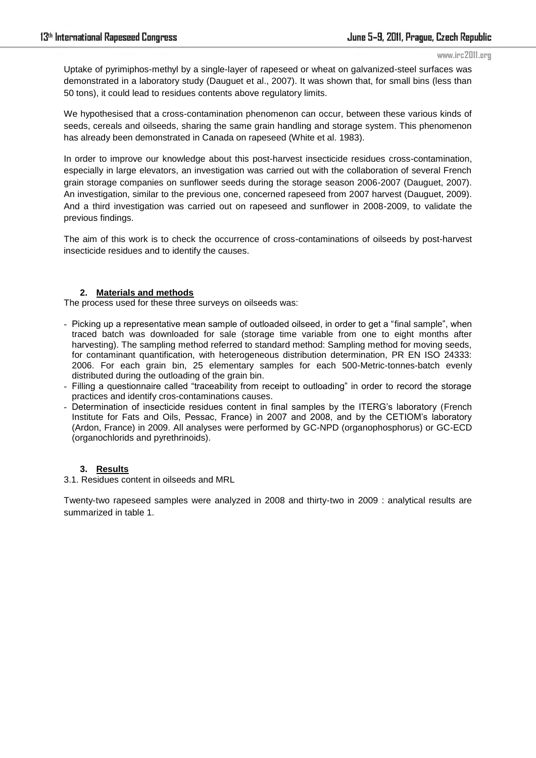Uptake of pyrimiphos-methyl by a single-layer of rapeseed or wheat on galvanized-steel surfaces was demonstrated in a laboratory study (Dauguet et al., 2007). It was shown that, for small bins (less than 50 tons), it could lead to residues contents above regulatory limits.

We hypothesised that a cross-contamination phenomenon can occur, between these various kinds of seeds, cereals and oilseeds, sharing the same grain handling and storage system. This phenomenon has already been demonstrated in Canada on rapeseed (White et al. 1983).

In order to improve our knowledge about this post-harvest insecticide residues cross-contamination, especially in large elevators, an investigation was carried out with the collaboration of several French grain storage companies on sunflower seeds during the storage season 2006-2007 (Dauguet, 2007). An investigation, similar to the previous one, concerned rapeseed from 2007 harvest (Dauguet, 2009). And a third investigation was carried out on rapeseed and sunflower in 2008-2009, to validate the previous findings.

The aim of this work is to check the occurrence of cross-contaminations of oilseeds by post-harvest insecticide residues and to identify the causes.

# **2. Materials and methods**

The process used for these three surveys on oilseeds was:

- Picking up a representative mean sample of outloaded oilseed, in order to get a "final sample", when traced batch was downloaded for sale (storage time variable from one to eight months after harvesting). The sampling method referred to standard method: Sampling method for moving seeds, for contaminant quantification, with heterogeneous distribution determination, PR EN ISO 24333: 2006. For each grain bin, 25 elementary samples for each 500-Metric-tonnes-batch evenly distributed during the outloading of the grain bin.
- Filling a questionnaire called "traceability from receipt to outloading" in order to record the storage practices and identify cros-contaminations causes.
- Determination of insecticide residues content in final samples by the ITERG's laboratory (French Institute for Fats and Oils, Pessac, France) in 2007 and 2008, and by the CETIOM's laboratory (Ardon, France) in 2009. All analyses were performed by GC-NPD (organophosphorus) or GC-ECD (organochlorids and pyrethrinoids).

# **3. Results**

## 3.1. Residues content in oilseeds and MRL

Twenty-two rapeseed samples were analyzed in 2008 and thirty-two in 2009 : analytical results are summarized in table 1.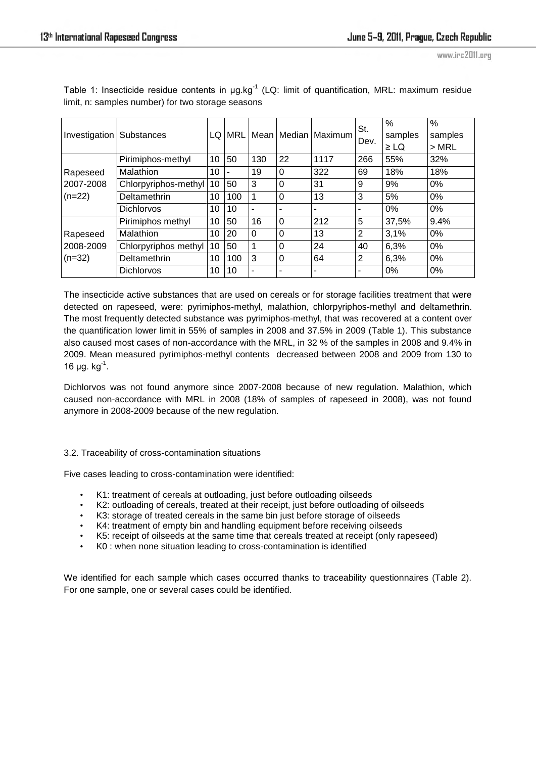| Investigation                     | <b>Substances</b>    | LQ | MRL |                |          | I Mean I Median I Maximum | St.<br>Dev. | $\frac{0}{0}$<br>samples<br>$\geq$ LQ | %<br>samples<br>$>$ MRL |
|-----------------------------------|----------------------|----|-----|----------------|----------|---------------------------|-------------|---------------------------------------|-------------------------|
| Rapeseed<br>2007-2008<br>$(n=22)$ | Pirimiphos-methyl    | 10 | 50  | 130            | 22       | 1117                      | 266         | 55%                                   | 32%                     |
|                                   | Malathion            | 10 |     | 19             | $\Omega$ | 322                       | 69          | 18%                                   | 18%                     |
|                                   | Chlorpyriphos-methyl | 10 | 50  | 3              | $\Omega$ | 31                        | 9           | 9%                                    | 0%                      |
|                                   | Deltamethrin         | 10 | 100 | 1              | $\Omega$ | 13                        | 3           | 5%                                    | 0%                      |
|                                   | <b>Dichlorvos</b>    | 10 | 10  | ۰              | ٠        |                           |             | $0\%$                                 | 0%                      |
| Rapeseed<br>2008-2009<br>$(n=32)$ | Pirimiphos methyl    | 10 | 50  | 16             | $\Omega$ | 212                       | 5           | 37,5%                                 | 9.4%                    |
|                                   | Malathion            | 10 | 20  | $\overline{0}$ | $\Omega$ | 13                        | 2           | 3,1%                                  | 0%                      |
|                                   | Chlorpyriphos methyl | 10 | 50  | 1              | $\Omega$ | 24                        | 40          | 6,3%                                  | 0%                      |
|                                   | Deltamethrin         | 10 | 100 | 3              | $\Omega$ | 64                        | 2           | 6,3%                                  | 0%                      |
|                                   | <b>Dichlorvos</b>    | 10 | 10  | ٠              | ٠        | ٠                         | ۰           | 0%                                    | 0%                      |

Table 1: Insecticide residue contents in  $\mu$ g.kg<sup>-1</sup> (LQ: limit of quantification, MRL: maximum residue limit, n: samples number) for two storage seasons

The insecticide active substances that are used on cereals or for storage facilities treatment that were detected on rapeseed, were: pyrimiphos-methyl, malathion, chlorpyriphos-methyl and deltamethrin. The most frequently detected substance was pyrimiphos-methyl, that was recovered at a content over the quantification lower limit in 55% of samples in 2008 and 37.5% in 2009 (Table 1). This substance also caused most cases of non-accordance with the MRL, in 32 % of the samples in 2008 and 9.4% in 2009. Mean measured pyrimiphos-methyl contents decreased between 2008 and 2009 from 130 to 16  $\mu$ g. kg<sup>-1</sup>.

Dichlorvos was not found anymore since 2007-2008 because of new regulation. Malathion, which caused non-accordance with MRL in 2008 (18% of samples of rapeseed in 2008), was not found anymore in 2008-2009 because of the new regulation.

## 3.2. Traceability of cross-contamination situations

Five cases leading to cross-contamination were identified:

- K1: treatment of cereals at outloading, just before outloading oilseeds
- K2: outloading of cereals, treated at their receipt, just before outloading of oilseeds
- K3: storage of treated cereals in the same bin just before storage of oilseeds
- K4: treatment of empty bin and handling equipment before receiving oilseeds
- K5: receipt of oilseeds at the same time that cereals treated at receipt (only rapeseed)
- K0 : when none situation leading to cross-contamination is identified

We identified for each sample which cases occurred thanks to traceability questionnaires (Table 2). For one sample, one or several cases could be identified.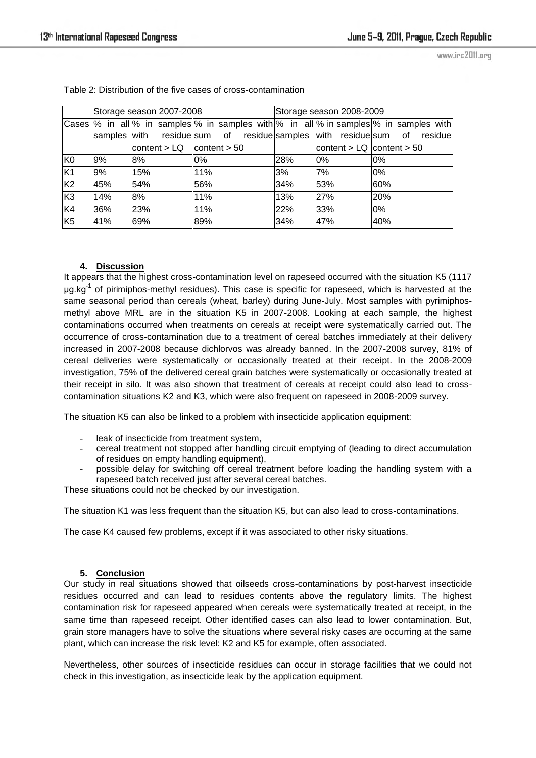|                |     | Storage season 2007-2008      |     | Storage season 2008-2009 |                               |                                                                                                         |  |  |  |
|----------------|-----|-------------------------------|-----|--------------------------|-------------------------------|---------------------------------------------------------------------------------------------------------|--|--|--|
|                |     |                               |     |                          |                               | Cases $\%$ in all $\%$ in samples $\%$ in samples with $\%$ in all $\%$ in samples $\%$ in samples with |  |  |  |
|                |     |                               |     |                          |                               | samples with residue sum of residue samples with residue sum of residue                                 |  |  |  |
|                |     | content $> LQ$ content $> 50$ |     |                          | content $>$ LQ content $>$ 50 |                                                                                                         |  |  |  |
| K <sub>0</sub> | 9%  | 8%                            | 0%  | 28%                      | 0%                            | 0%                                                                                                      |  |  |  |
| K <sub>1</sub> | 9%  | 15%                           | 11% | 3%                       | 7%                            | 0%                                                                                                      |  |  |  |
| K <sub>2</sub> | 45% | 54%                           | 56% | 34%                      | 53%                           | 60%                                                                                                     |  |  |  |
| K3             | 14% | 8%                            | 11% | 13%                      | 27%                           | 20%                                                                                                     |  |  |  |
| K <sub>4</sub> | 36% | 23%                           | 11% | 22%                      | 33%                           | 0%                                                                                                      |  |  |  |
| K5             | 41% | 69%                           | 89% | 34%                      | 47%                           | 40%                                                                                                     |  |  |  |

Table 2: Distribution of the five cases of cross-contamination

# **4. Discussion**

It appears that the highest cross-contamination level on rapeseed occurred with the situation K5 (1117  $\mu$ g.kg<sup>-1</sup> of pirimiphos-methyl residues). This case is specific for rapeseed, which is harvested at the same seasonal period than cereals (wheat, barley) during June-July. Most samples with pyrimiphosmethyl above MRL are in the situation K5 in 2007-2008. Looking at each sample, the highest contaminations occurred when treatments on cereals at receipt were systematically carried out. The occurrence of cross-contamination due to a treatment of cereal batches immediately at their delivery increased in 2007-2008 because dichlorvos was already banned. In the 2007-2008 survey, 81% of cereal deliveries were systematically or occasionally treated at their receipt. In the 2008-2009 investigation, 75% of the delivered cereal grain batches were systematically or occasionally treated at their receipt in silo. It was also shown that treatment of cereals at receipt could also lead to crosscontamination situations K2 and K3, which were also frequent on rapeseed in 2008-2009 survey.

The situation K5 can also be linked to a problem with insecticide application equipment:

- leak of insecticide from treatment system,
- cereal treatment not stopped after handling circuit emptying of (leading to direct accumulation of residues on empty handling equipment),
- possible delay for switching off cereal treatment before loading the handling system with a rapeseed batch received just after several cereal batches.

These situations could not be checked by our investigation.

The situation K1 was less frequent than the situation K5, but can also lead to cross-contaminations.

The case K4 caused few problems, except if it was associated to other risky situations.

## **5. Conclusion**

Our study in real situations showed that oilseeds cross-contaminations by post-harvest insecticide residues occurred and can lead to residues contents above the regulatory limits. The highest contamination risk for rapeseed appeared when cereals were systematically treated at receipt, in the same time than rapeseed receipt. Other identified cases can also lead to lower contamination. But, grain store managers have to solve the situations where several risky cases are occurring at the same plant, which can increase the risk level: K2 and K5 for example, often associated.

Nevertheless, other sources of insecticide residues can occur in storage facilities that we could not check in this investigation, as insecticide leak by the application equipment.